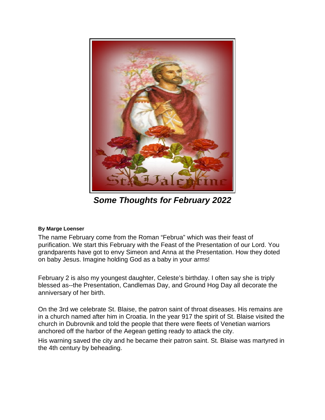

*Some Thoughts for February 2022* 

## **By Marge Loenser**

The name February come from the Roman "Februa" which was their feast of purification. We start this February with the Feast of the Presentation of our Lord. You grandparents have got to envy Simeon and Anna at the Presentation. How they doted on baby Jesus. Imagine holding God as a baby in your arms!

February 2 is also my youngest daughter, Celeste's birthday. I often say she is triply blessed as--the Presentation, Candlemas Day, and Ground Hog Day all decorate the anniversary of her birth.

On the 3rd we celebrate St. Blaise, the patron saint of throat diseases. His remains are in a church named after him in Croatia. In the year 917 the spirit of St. Blaise visited the church in Dubrovnik and told the people that there were fleets of Venetian warriors anchored off the harbor of the Aegean getting ready to attack the city.

His warning saved the city and he became their patron saint. St. Blaise was martyred in the 4th century by beheading.